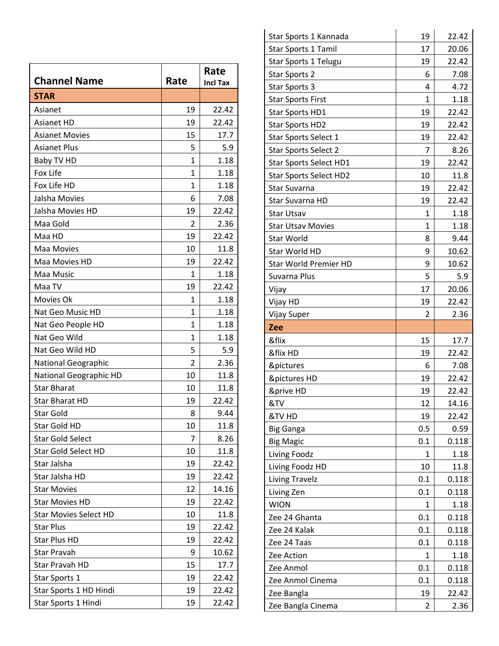| <b>Channel Name</b>          | Rate           | Rate<br><b>Incl Tax</b> |
|------------------------------|----------------|-------------------------|
| <b>STAR</b>                  |                |                         |
| Asianet                      | 19             | 22.42                   |
| <b>Asianet HD</b>            | 19             | 22.42                   |
| <b>Asianet Movies</b>        | 15             | 17.7                    |
| <b>Asianet Plus</b>          | 5              | 5.9                     |
| Baby TV HD                   | $\mathbf{1}$   | 1.18                    |
| Fox Life                     | $\mathbf{1}$   | 1.18                    |
| Fox Life HD                  | $\mathbf{1}$   | 1.18                    |
| Jalsha Movies                | 6              | 7.08                    |
| Jalsha Movies HD             | 19             | 22.42                   |
| Maa Gold                     | $\overline{2}$ | 2.36                    |
| Maa HD                       | 19             | 22.42                   |
| Maa Movies                   | 10             | 11.8                    |
| Maa Movies HD                | 19             | 22.42                   |
| Maa Music                    | $\mathbf{1}$   | 1.18                    |
| Maa TV                       | 19             | 22.42                   |
| Movies Ok                    | 1              | 1.18                    |
| Nat Geo Music HD             | $\mathbf{1}$   | 1.18                    |
| Nat Geo People HD            | $\mathbf{1}$   | 1.18                    |
| Nat Geo Wild                 | 1              | 1.18                    |
| Nat Geo Wild HD              | 5              | 5.9                     |
| <b>National Geographic</b>   | $\overline{2}$ | 2.36                    |
| National Geographic HD       | 10             | 11.8                    |
| <b>Star Bharat</b>           | 10             | 11.8                    |
| Star Bharat HD               | 19             | 22.42                   |
| Star Gold                    | 8              | 9.44                    |
| Star Gold HD                 | 10             | 11.8                    |
| <b>Star Gold Select</b>      | 7              | 8.26                    |
| <b>Star Gold Select HD</b>   | 10             | 11.8                    |
| Star Jalsha                  | 19             | 22.42                   |
| Star Jalsha HD               | 19             | 22.42                   |
| <b>Star Movies</b>           | 12             | 14.16                   |
| <b>Star Movies HD</b>        | 19             | 22.42                   |
| <b>Star Movies Select HD</b> | 10             | 11.8                    |
| <b>Star Plus</b>             | 19             | 22.42                   |
| Star Plus HD                 | 19             | 22.42                   |
| Star Pravah                  | 9              | 10.62                   |
| Star Pravah HD               | 15             | 17.7                    |
| Star Sports 1                | 19             | 22.42                   |
| Star Sports 1 HD Hindi       | 19             | 22.42                   |
| Star Sports 1 Hindi          | 19             | 22.42                   |

| Star Sports 1 Kannada         | 19  | 22.42 |
|-------------------------------|-----|-------|
| <b>Star Sports 1 Tamil</b>    | 17  | 20.06 |
| Star Sports 1 Telugu          | 19  | 22.42 |
| Star Sports 2                 | 6   | 7.08  |
| Star Sports 3                 | 4   | 4.72  |
| <b>Star Sports First</b>      | 1   | 1.18  |
| Star Sports HD1               | 19  | 22.42 |
| <b>Star Sports HD2</b>        | 19  | 22.42 |
| Star Sports Select 1          | 19  | 22.42 |
| Star Sports Select 2          | 7   | 8.26  |
| Star Sports Select HD1        | 19  | 22.42 |
| <b>Star Sports Select HD2</b> | 10  | 11.8  |
| Star Suvarna                  | 19  | 22.42 |
| Star Suvarna HD               | 19  | 22.42 |
| <b>Star Utsav</b>             | 1   | 1.18  |
| <b>Star Utsav Movies</b>      | 1   | 1.18  |
| Star World                    | 8   | 9.44  |
| Star World HD                 | 9   | 10.62 |
| <b>Star World Premier HD</b>  | 9   | 10.62 |
| Suvarna Plus                  | 5   | 5.9   |
| Vijay                         | 17  | 20.06 |
| Vijay HD                      | 19  | 22.42 |
|                               |     |       |
| Vijay Super                   | 2   | 2.36  |
| <b>Zee</b>                    |     |       |
| &flix                         | 15  | 17.7  |
| &flix HD                      | 19  | 22.42 |
| &pictures                     | 6   | 7.08  |
| &pictures HD                  | 19  | 22.42 |
| &prive HD                     | 19  | 22.42 |
| &TV                           | 12  | 14.16 |
| &TV HD                        | 19  | 22.42 |
| <b>Big Ganga</b>              | 0.5 | 0.59  |
| <b>Big Magic</b>              | 0.1 | 0.118 |
| Living Foodz                  | 1   | 1.18  |
| Living Foodz HD               | 10  | 11.8  |
| <b>Living Travelz</b>         | 0.1 | 0.118 |
| Living Zen                    | 0.1 | 0.118 |
| <b>WION</b>                   | 1   | 1.18  |
| Zee 24 Ghanta                 | 0.1 | 0.118 |
| Zee 24 Kalak                  | 0.1 | 0.118 |
| Zee 24 Taas                   | 0.1 | 0.118 |
| Zee Action                    | 1   | 1.18  |
| Zee Anmol                     | 0.1 | 0.118 |
| Zee Anmol Cinema              | 0.1 | 0.118 |
| Zee Bangla                    | 19  | 22.42 |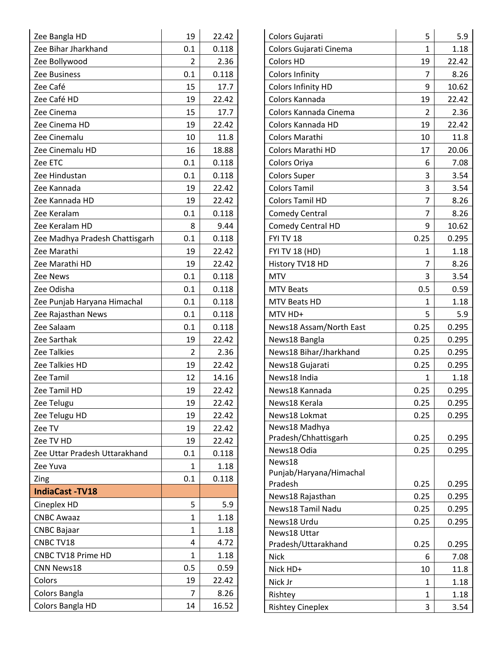| Zee Bangla HD                  | 19             | 22.42 |
|--------------------------------|----------------|-------|
| Zee Bihar Jharkhand            | 0.1            | 0.118 |
| Zee Bollywood                  | $\overline{2}$ | 2.36  |
| Zee Business                   | 0.1            | 0.118 |
| Zee Café                       | 15             | 17.7  |
| Zee Café HD                    | 19             | 22.42 |
| Zee Cinema                     | 15             | 17.7  |
| Zee Cinema HD                  | 19             | 22.42 |
| Zee Cinemalu                   | 10             | 11.8  |
| Zee Cinemalu HD                | 16             | 18.88 |
| Zee ETC                        | 0.1            | 0.118 |
| Zee Hindustan                  | 0.1            | 0.118 |
| Zee Kannada                    | 19             | 22.42 |
| Zee Kannada HD                 | 19             | 22.42 |
| Zee Keralam                    | 0.1            | 0.118 |
| Zee Keralam HD                 | 8              | 9.44  |
| Zee Madhya Pradesh Chattisgarh | 0.1            | 0.118 |
| Zee Marathi                    | 19             | 22.42 |
| Zee Marathi HD                 | 19             | 22.42 |
| Zee News                       | 0.1            | 0.118 |
| Zee Odisha                     | 0.1            | 0.118 |
| Zee Punjab Haryana Himachal    | 0.1            | 0.118 |
| Zee Rajasthan News             | 0.1            | 0.118 |
| Zee Salaam                     | 0.1            | 0.118 |
| Zee Sarthak                    | 19             | 22.42 |
| <b>Zee Talkies</b>             | 2              | 2.36  |
| Zee Talkies HD                 | 19             | 22.42 |
| Zee Tamil                      | 12             | 14.16 |
| Zee Tamil HD                   | 19             | 22.42 |
| Zee Telugu                     | 19             | 22.42 |
| Zee Telugu HD                  | 19             | 22.42 |
| Zee TV                         | 19             | 22.42 |
| Zee TV HD                      | 19             | 22.42 |
| Zee Uttar Pradesh Uttarakhand  | 0.1            | 0.118 |
| Zee Yuva                       | 1              | 1.18  |
| Zing                           | 0.1            | 0.118 |
| <b>IndiaCast-TV18</b>          |                |       |
| Cineplex HD                    | 5              | 5.9   |
| <b>CNBC Awaaz</b>              | 1              | 1.18  |
| <b>CNBC Bajaar</b>             | 1              | 1.18  |
| CNBC TV18                      | 4              | 4.72  |
| CNBC TV18 Prime HD             | 1              | 1.18  |
| <b>CNN News18</b>              | 0.5            | 0.59  |
| Colors                         | 19             | 22.42 |
| Colors Bangla                  | 7              | 8.26  |
| Colors Bangla HD               | 14             | 16.52 |

| Colors Gujarati                    | 5              | 5.9   |
|------------------------------------|----------------|-------|
| Colors Gujarati Cinema             | 1              | 1.18  |
| <b>Colors HD</b>                   | 19             | 22.42 |
| <b>Colors Infinity</b>             | 7              | 8.26  |
| Colors Infinity HD                 | 9              | 10.62 |
| Colors Kannada                     | 19             | 22.42 |
| Colors Kannada Cinema              | $\overline{2}$ | 2.36  |
| Colors Kannada HD                  | 19             | 22.42 |
| Colors Marathi                     | 10             | 11.8  |
| <b>Colors Marathi HD</b>           | 17             | 20.06 |
| Colors Oriya                       | 6              | 7.08  |
| <b>Colors Super</b>                | 3              | 3.54  |
| <b>Colors Tamil</b>                | 3              | 3.54  |
| <b>Colors Tamil HD</b>             | 7              | 8.26  |
| <b>Comedy Central</b>              | 7              | 8.26  |
| <b>Comedy Central HD</b>           | 9              | 10.62 |
| FYI TV 18                          | 0.25           | 0.295 |
| <b>FYI TV 18 (HD)</b>              | 1              | 1.18  |
| History TV18 HD                    | 7              | 8.26  |
| <b>MTV</b>                         | 3              | 3.54  |
| <b>MTV Beats</b>                   | 0.5            | 0.59  |
| MTV Beats HD                       | $\mathbf{1}$   | 1.18  |
| MTV HD+                            | 5              | 5.9   |
| News18 Assam/North East            | 0.25           | 0.295 |
| News18 Bangla                      | 0.25           | 0.295 |
| News18 Bihar/Jharkhand             | 0.25           | 0.295 |
| News18 Gujarati                    | 0.25           | 0.295 |
| News18 India                       | 1              | 1.18  |
| News18 Kannada                     | 0.25           | 0.295 |
| News18 Kerala                      | 0.25           | 0.295 |
| News18 Lokmat                      | 0.25           | 0.295 |
| News18 Madhya                      |                |       |
| Pradesh/Chhattisgarh               | 0.25           | 0.295 |
| News18 Odia                        | 0.25           | 0.295 |
| News18                             |                |       |
| Punjab/Haryana/Himachal<br>Pradesh | 0.25           | 0.295 |
| News18 Rajasthan                   | 0.25           | 0.295 |
| News18 Tamil Nadu                  | 0.25           | 0.295 |
| News18 Urdu                        | 0.25           | 0.295 |
| News18 Uttar                       |                |       |
| Pradesh/Uttarakhand                | 0.25           | 0.295 |
| <b>Nick</b>                        | 6              | 7.08  |
| Nick HD+                           | 10             | 11.8  |
| Nick Jr                            | 1              | 1.18  |
| Rishtey                            | $\mathbf{1}$   | 1.18  |
| <b>Rishtey Cineplex</b>            | 3              | 3.54  |
|                                    |                |       |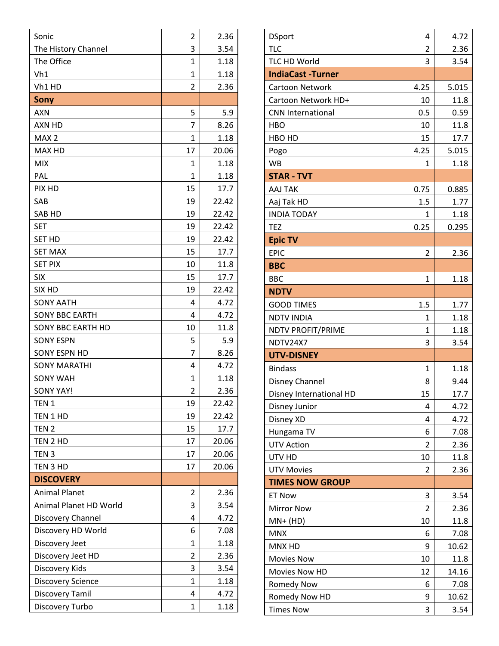| Sonic                    | $\overline{2}$ | 2.36  |
|--------------------------|----------------|-------|
| The History Channel      | 3              | 3.54  |
| The Office               | 1              | 1.18  |
| Vh1                      | $\mathbf{1}$   | 1.18  |
| Vh1 HD                   | $\overline{2}$ | 2.36  |
| <b>Sony</b>              |                |       |
| <b>AXN</b>               | 5              | 5.9   |
| AXN HD                   | 7              | 8.26  |
| MAX <sub>2</sub>         | $\mathbf{1}$   | 1.18  |
| MAX HD                   | 17             | 20.06 |
| <b>MIX</b>               | 1              | 1.18  |
| PAL                      | $\mathbf{1}$   | 1.18  |
| PIX HD                   | 15             | 17.7  |
| SAB                      | 19             | 22.42 |
| SAB HD                   | 19             | 22.42 |
| <b>SET</b>               | 19             | 22.42 |
| <b>SET HD</b>            | 19             | 22.42 |
| <b>SET MAX</b>           | 15             | 17.7  |
| <b>SET PIX</b>           | 10             | 11.8  |
| <b>SIX</b>               | 15             | 17.7  |
| SIX HD                   | 19             | 22.42 |
| <b>SONY AATH</b>         | 4              | 4.72  |
| <b>SONY BBC EARTH</b>    | 4              | 4.72  |
| <b>SONY BBC EARTH HD</b> | 10             | 11.8  |
| <b>SONY ESPN</b>         | 5              | 5.9   |
| <b>SONY ESPN HD</b>      | 7              | 8.26  |
| <b>SONY MARATHI</b>      | 4              | 4.72  |
| <b>SONY WAH</b>          | $\mathbf{1}$   | 1.18  |
| <b>SONY YAY!</b>         | $\overline{2}$ | 2.36  |
| TEN <sub>1</sub>         | 19             | 22.42 |
| TEN 1 HD                 | 19             | 22.42 |
| TEN <sub>2</sub>         | 15             | 17.7  |
| TEN 2 HD                 | 17             | 20.06 |
| TEN <sub>3</sub>         | 17             | 20.06 |
| TEN 3 HD                 | 17             | 20.06 |
| <b>DISCOVERY</b>         |                |       |
| <b>Animal Planet</b>     | $\overline{2}$ | 2.36  |
| Animal Planet HD World   | 3              | 3.54  |
| Discovery Channel        | 4              | 4.72  |
| Discovery HD World       | 6              | 7.08  |
| Discovery Jeet           | 1              | 1.18  |
| Discovery Jeet HD        | $\overline{2}$ | 2.36  |
| Discovery Kids           | 3              | 3.54  |
| <b>Discovery Science</b> | $\mathbf{1}$   | 1.18  |
| Discovery Tamil          | 4              | 4.72  |
| Discovery Turbo          | 1              | 1.18  |

| $\overline{2}$<br><b>TLC</b><br>2.36<br><b>TLC HD World</b><br>3.54<br>3<br><b>IndiaCast-Turner</b><br>4.25<br>Cartoon Network<br>5.015<br>Cartoon Network HD+<br>10<br>11.8<br>0.5<br><b>CNN International</b><br>0.59<br>10<br>11.8<br>HBO<br>17.7<br>HBO HD<br>15<br>4.25<br>5.015<br>Pogo<br><b>WB</b><br>1.18<br>1<br><b>STAR - TVT</b><br><b>AAJ TAK</b><br>0.75<br>0.885<br>Aaj Tak HD<br>1.5<br>1.77<br><b>INDIA TODAY</b><br>1.18<br>1<br>0.25<br><b>TEZ</b><br>0.295<br><b>Epic TV</b><br><b>EPIC</b><br>$\overline{2}$<br>2.36<br><b>BBC</b><br>$\mathbf 1$<br>1.18<br><b>BBC</b><br><b>NDTV</b><br>1.5<br>1.77<br><b>GOOD TIMES</b><br><b>NDTV INDIA</b><br>1<br>1.18<br>NDTV PROFIT/PRIME<br>$\mathbf{1}$<br>1.18<br>NDTV24X7<br>3<br>3.54<br><b>UTV-DISNEY</b><br><b>Bindass</b><br>1.18<br>$\mathbf{1}$<br>Disney Channel<br>9.44<br>8<br>Disney International HD<br>17.7<br>15<br>4.72<br>Disney Junior<br>4<br>Disney XD<br>4.72<br>4<br>Hungama TV<br>7.08<br>6<br><b>UTV Action</b><br>2<br>2.36<br>10<br>11.8<br>UTV HD<br>2.36<br><b>UTV Movies</b><br>$\overline{2}$<br><b>TIMES NOW GROUP</b> |
|----------------------------------------------------------------------------------------------------------------------------------------------------------------------------------------------------------------------------------------------------------------------------------------------------------------------------------------------------------------------------------------------------------------------------------------------------------------------------------------------------------------------------------------------------------------------------------------------------------------------------------------------------------------------------------------------------------------------------------------------------------------------------------------------------------------------------------------------------------------------------------------------------------------------------------------------------------------------------------------------------------------------------------------------------------------------------------------------------------------------|
|                                                                                                                                                                                                                                                                                                                                                                                                                                                                                                                                                                                                                                                                                                                                                                                                                                                                                                                                                                                                                                                                                                                      |
|                                                                                                                                                                                                                                                                                                                                                                                                                                                                                                                                                                                                                                                                                                                                                                                                                                                                                                                                                                                                                                                                                                                      |
|                                                                                                                                                                                                                                                                                                                                                                                                                                                                                                                                                                                                                                                                                                                                                                                                                                                                                                                                                                                                                                                                                                                      |
|                                                                                                                                                                                                                                                                                                                                                                                                                                                                                                                                                                                                                                                                                                                                                                                                                                                                                                                                                                                                                                                                                                                      |
|                                                                                                                                                                                                                                                                                                                                                                                                                                                                                                                                                                                                                                                                                                                                                                                                                                                                                                                                                                                                                                                                                                                      |
|                                                                                                                                                                                                                                                                                                                                                                                                                                                                                                                                                                                                                                                                                                                                                                                                                                                                                                                                                                                                                                                                                                                      |
|                                                                                                                                                                                                                                                                                                                                                                                                                                                                                                                                                                                                                                                                                                                                                                                                                                                                                                                                                                                                                                                                                                                      |
|                                                                                                                                                                                                                                                                                                                                                                                                                                                                                                                                                                                                                                                                                                                                                                                                                                                                                                                                                                                                                                                                                                                      |
|                                                                                                                                                                                                                                                                                                                                                                                                                                                                                                                                                                                                                                                                                                                                                                                                                                                                                                                                                                                                                                                                                                                      |
|                                                                                                                                                                                                                                                                                                                                                                                                                                                                                                                                                                                                                                                                                                                                                                                                                                                                                                                                                                                                                                                                                                                      |
|                                                                                                                                                                                                                                                                                                                                                                                                                                                                                                                                                                                                                                                                                                                                                                                                                                                                                                                                                                                                                                                                                                                      |
|                                                                                                                                                                                                                                                                                                                                                                                                                                                                                                                                                                                                                                                                                                                                                                                                                                                                                                                                                                                                                                                                                                                      |
|                                                                                                                                                                                                                                                                                                                                                                                                                                                                                                                                                                                                                                                                                                                                                                                                                                                                                                                                                                                                                                                                                                                      |
|                                                                                                                                                                                                                                                                                                                                                                                                                                                                                                                                                                                                                                                                                                                                                                                                                                                                                                                                                                                                                                                                                                                      |
|                                                                                                                                                                                                                                                                                                                                                                                                                                                                                                                                                                                                                                                                                                                                                                                                                                                                                                                                                                                                                                                                                                                      |
|                                                                                                                                                                                                                                                                                                                                                                                                                                                                                                                                                                                                                                                                                                                                                                                                                                                                                                                                                                                                                                                                                                                      |
|                                                                                                                                                                                                                                                                                                                                                                                                                                                                                                                                                                                                                                                                                                                                                                                                                                                                                                                                                                                                                                                                                                                      |
|                                                                                                                                                                                                                                                                                                                                                                                                                                                                                                                                                                                                                                                                                                                                                                                                                                                                                                                                                                                                                                                                                                                      |
|                                                                                                                                                                                                                                                                                                                                                                                                                                                                                                                                                                                                                                                                                                                                                                                                                                                                                                                                                                                                                                                                                                                      |
|                                                                                                                                                                                                                                                                                                                                                                                                                                                                                                                                                                                                                                                                                                                                                                                                                                                                                                                                                                                                                                                                                                                      |
|                                                                                                                                                                                                                                                                                                                                                                                                                                                                                                                                                                                                                                                                                                                                                                                                                                                                                                                                                                                                                                                                                                                      |
|                                                                                                                                                                                                                                                                                                                                                                                                                                                                                                                                                                                                                                                                                                                                                                                                                                                                                                                                                                                                                                                                                                                      |
|                                                                                                                                                                                                                                                                                                                                                                                                                                                                                                                                                                                                                                                                                                                                                                                                                                                                                                                                                                                                                                                                                                                      |
|                                                                                                                                                                                                                                                                                                                                                                                                                                                                                                                                                                                                                                                                                                                                                                                                                                                                                                                                                                                                                                                                                                                      |
|                                                                                                                                                                                                                                                                                                                                                                                                                                                                                                                                                                                                                                                                                                                                                                                                                                                                                                                                                                                                                                                                                                                      |
|                                                                                                                                                                                                                                                                                                                                                                                                                                                                                                                                                                                                                                                                                                                                                                                                                                                                                                                                                                                                                                                                                                                      |
|                                                                                                                                                                                                                                                                                                                                                                                                                                                                                                                                                                                                                                                                                                                                                                                                                                                                                                                                                                                                                                                                                                                      |
|                                                                                                                                                                                                                                                                                                                                                                                                                                                                                                                                                                                                                                                                                                                                                                                                                                                                                                                                                                                                                                                                                                                      |
|                                                                                                                                                                                                                                                                                                                                                                                                                                                                                                                                                                                                                                                                                                                                                                                                                                                                                                                                                                                                                                                                                                                      |
|                                                                                                                                                                                                                                                                                                                                                                                                                                                                                                                                                                                                                                                                                                                                                                                                                                                                                                                                                                                                                                                                                                                      |
|                                                                                                                                                                                                                                                                                                                                                                                                                                                                                                                                                                                                                                                                                                                                                                                                                                                                                                                                                                                                                                                                                                                      |
|                                                                                                                                                                                                                                                                                                                                                                                                                                                                                                                                                                                                                                                                                                                                                                                                                                                                                                                                                                                                                                                                                                                      |
|                                                                                                                                                                                                                                                                                                                                                                                                                                                                                                                                                                                                                                                                                                                                                                                                                                                                                                                                                                                                                                                                                                                      |
|                                                                                                                                                                                                                                                                                                                                                                                                                                                                                                                                                                                                                                                                                                                                                                                                                                                                                                                                                                                                                                                                                                                      |
|                                                                                                                                                                                                                                                                                                                                                                                                                                                                                                                                                                                                                                                                                                                                                                                                                                                                                                                                                                                                                                                                                                                      |
| <b>ET Now</b><br>3<br>3.54                                                                                                                                                                                                                                                                                                                                                                                                                                                                                                                                                                                                                                                                                                                                                                                                                                                                                                                                                                                                                                                                                           |
| <b>Mirror Now</b><br>$\overline{2}$<br>2.36                                                                                                                                                                                                                                                                                                                                                                                                                                                                                                                                                                                                                                                                                                                                                                                                                                                                                                                                                                                                                                                                          |
| 10<br>11.8<br>$MN+ (HD)$                                                                                                                                                                                                                                                                                                                                                                                                                                                                                                                                                                                                                                                                                                                                                                                                                                                                                                                                                                                                                                                                                             |
| <b>MNX</b><br>7.08<br>6                                                                                                                                                                                                                                                                                                                                                                                                                                                                                                                                                                                                                                                                                                                                                                                                                                                                                                                                                                                                                                                                                              |
| MNX HD<br>10.62<br>9                                                                                                                                                                                                                                                                                                                                                                                                                                                                                                                                                                                                                                                                                                                                                                                                                                                                                                                                                                                                                                                                                                 |
| <b>Movies Now</b><br>10<br>11.8                                                                                                                                                                                                                                                                                                                                                                                                                                                                                                                                                                                                                                                                                                                                                                                                                                                                                                                                                                                                                                                                                      |
| Movies Now HD<br>12<br>14.16                                                                                                                                                                                                                                                                                                                                                                                                                                                                                                                                                                                                                                                                                                                                                                                                                                                                                                                                                                                                                                                                                         |
| <b>Romedy Now</b><br>6<br>7.08                                                                                                                                                                                                                                                                                                                                                                                                                                                                                                                                                                                                                                                                                                                                                                                                                                                                                                                                                                                                                                                                                       |
| Romedy Now HD<br>9<br>10.62                                                                                                                                                                                                                                                                                                                                                                                                                                                                                                                                                                                                                                                                                                                                                                                                                                                                                                                                                                                                                                                                                          |
| <b>Times Now</b><br>3<br>3.54                                                                                                                                                                                                                                                                                                                                                                                                                                                                                                                                                                                                                                                                                                                                                                                                                                                                                                                                                                                                                                                                                        |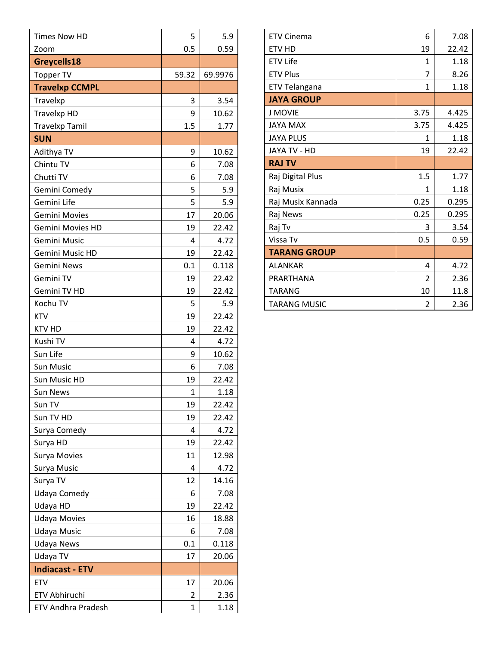| <b>Times Now HD</b>     | 5            | 5.9     |
|-------------------------|--------------|---------|
| Zoom                    | 0.5          | 0.59    |
| Greycells18             |              |         |
| <b>Topper TV</b>        | 59.32        | 69.9976 |
| <b>Travelxp CCMPL</b>   |              |         |
| Travelxp                | 3            | 3.54    |
| <b>Travelxp HD</b>      | 9            | 10.62   |
| <b>Travelxp Tamil</b>   | 1.5          | 1.77    |
| <b>SUN</b>              |              |         |
| Adithya TV              | 9            | 10.62   |
| Chintu TV               | 6            | 7.08    |
| Chutti TV               | 6            | 7.08    |
| Gemini Comedy           | 5            | 5.9     |
| Gemini Life             | 5            | 5.9     |
| Gemini Movies           | 17           | 20.06   |
| <b>Gemini Movies HD</b> | 19           | 22.42   |
| Gemini Music            | 4            | 4.72    |
| Gemini Music HD         | 19           | 22.42   |
| Gemini News             | 0.1          | 0.118   |
| Gemini TV               | 19           | 22.42   |
| Gemini TV HD            | 19           | 22.42   |
| Kochu TV                | 5            | 5.9     |
| <b>KTV</b>              | 19           | 22.42   |
| <b>KTV HD</b>           | 19           | 22.42   |
| Kushi TV                | 4            | 4.72    |
| Sun Life                | 9            | 10.62   |
| <b>Sun Music</b>        | 6            | 7.08    |
| Sun Music HD            | 19           | 22.42   |
| <b>Sun News</b>         | 1            | 1.18    |
| Sun TV                  | 19           | 22.42   |
| Sun TV HD               | 19           | 22.42   |
| Surya Comedy            | 4            | 4.72    |
| Surya HD                | 19           | 22.42   |
| Surya Movies            | 11           | 12.98   |
| Surya Music             | 4            | 4.72    |
| Surya TV                | 12           | 14.16   |
| Udaya Comedy            | 6            | 7.08    |
| Udaya HD                | 19           | 22.42   |
| <b>Udaya Movies</b>     | 16           | 18.88   |
| <b>Udaya Music</b>      | 6            | 7.08    |
| <b>Udaya News</b>       | 0.1          | 0.118   |
| Udaya TV                | 17           | 20.06   |
| <b>Indiacast - ETV</b>  |              |         |
| <b>ETV</b>              | 17           | 20.06   |
| ETV Abhiruchi           | 2            | 2.36    |
| ETV Andhra Pradesh      | $\mathbf{1}$ | 1.18    |

| <b>ETV Cinema</b>   | 6                        | 7.08  |
|---------------------|--------------------------|-------|
| <b>ETV HD</b>       | 19                       | 22.42 |
| <b>ETV Life</b>     | 1                        | 1.18  |
| <b>ETV Plus</b>     | 7                        | 8.26  |
| ETV Telangana       | 1                        | 1.18  |
| <b>JAYA GROUP</b>   |                          |       |
| <b>J MOVIE</b>      | 3.75                     | 4.425 |
| <b>JAYA MAX</b>     | 3.75                     | 4.425 |
| <b>JAYA PLUS</b>    | 1                        | 1.18  |
| JAYA TV - HD        | 19                       | 22.42 |
| <b>RAJ TV</b>       |                          |       |
|                     |                          |       |
| Raj Digital Plus    | 1.5                      | 1.77  |
| Raj Musix           | 1                        | 1.18  |
| Raj Musix Kannada   | 0.25                     | 0.295 |
| Raj News            | 0.25                     | 0.295 |
| Raj Tv              | 3                        | 3.54  |
| Vissa Tv            | 0.5                      | 0.59  |
| <b>TARANG GROUP</b> |                          |       |
| <b>ALANKAR</b>      | 4                        | 4.72  |
| PRARTHANA           | $\overline{\mathcal{L}}$ | 2.36  |
| <b>TARANG</b>       | 10                       | 11.8  |